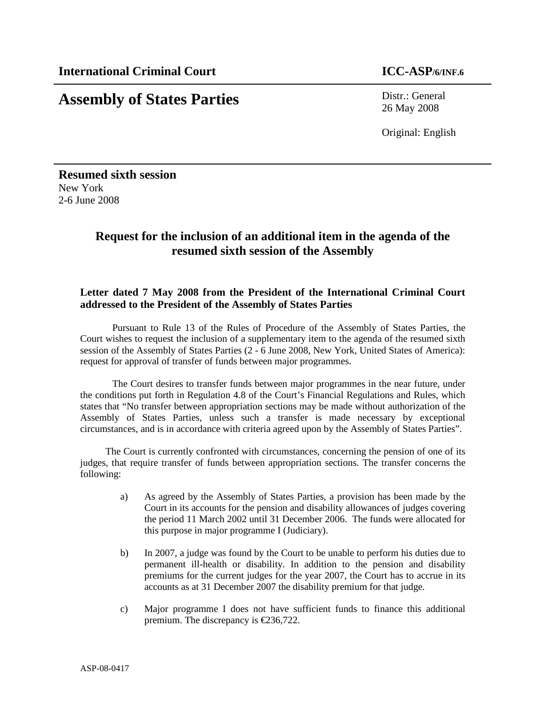# **Assembly of States Parties** Distr.: General

26 May 2008

Original: English

**Resumed sixth session**  New York 2-6 June 2008

## **Request for the inclusion of an additional item in the agenda of the resumed sixth session of the Assembly**

#### **Letter dated 7 May 2008 from the President of the International Criminal Court addressed to the President of the Assembly of States Parties**

Pursuant to Rule 13 of the Rules of Procedure of the Assembly of States Parties, the Court wishes to request the inclusion of a supplementary item to the agenda of the resumed sixth session of the Assembly of States Parties (2 - 6 June 2008, New York, United States of America): request for approval of transfer of funds between major programmes.

The Court desires to transfer funds between major programmes in the near future, under the conditions put forth in Regulation 4.8 of the Court's Financial Regulations and Rules, which states that "No transfer between appropriation sections may be made without authorization of the Assembly of States Parties, unless such a transfer is made necessary by exceptional circumstances, and is in accordance with criteria agreed upon by the Assembly of States Parties".

The Court is currently confronted with circumstances, concerning the pension of one of its judges, that require transfer of funds between appropriation sections. The transfer concerns the following:

- a) As agreed by the Assembly of States Parties, a provision has been made by the Court in its accounts for the pension and disability allowances of judges covering the period 11 March 2002 until 31 December 2006. The funds were allocated for this purpose in major programme I (Judiciary).
- b) In 2007, a judge was found by the Court to be unable to perform his duties due to permanent ill-health or disability. In addition to the pension and disability premiums for the current judges for the year 2007, the Court has to accrue in its accounts as at 31 December 2007 the disability premium for that judge.
- c) Major programme I does not have sufficient funds to finance this additional premium. The discrepancy is €236,722.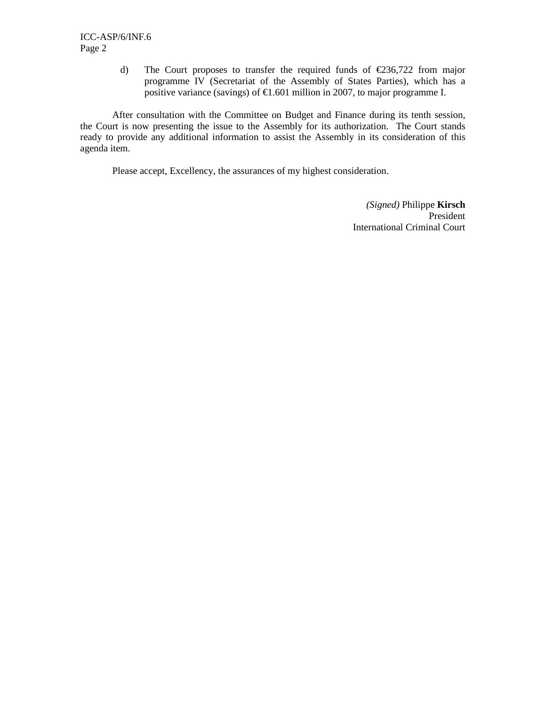d) The Court proposes to transfer the required funds of  $\epsilon$ 236,722 from major programme IV (Secretariat of the Assembly of States Parties), which has a positive variance (savings) of  $\epsilon$ 1.601 million in 2007, to major programme I.

After consultation with the Committee on Budget and Finance during its tenth session, the Court is now presenting the issue to the Assembly for its authorization. The Court stands ready to provide any additional information to assist the Assembly in its consideration of this agenda item.

Please accept, Excellency, the assurances of my highest consideration.

 *(Signed)* Philippe **Kirsch**  President International Criminal Court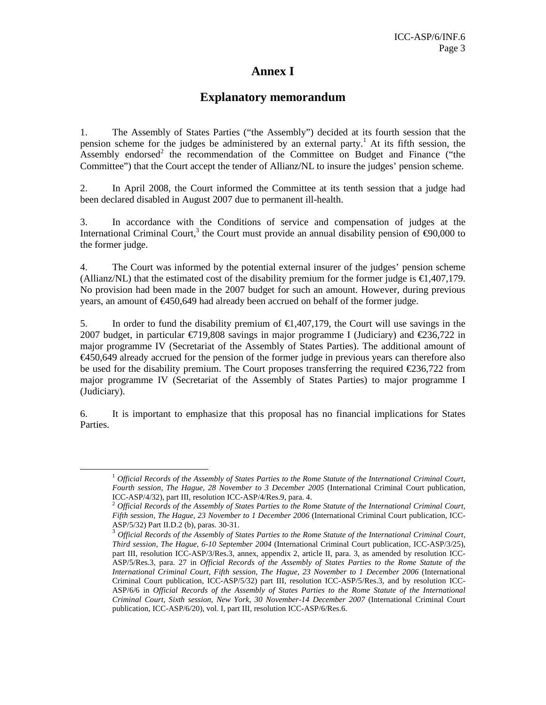## **Annex I**

### **Explanatory memorandum**

1. The Assembly of States Parties ("the Assembly") decided at its fourth session that the pension scheme for the judges be administered by an external party.<sup>1</sup> At its fifth session, the Assembly endorsed<sup>2</sup> the recommendation of the Committee on Budget and Finance ("the Committee") that the Court accept the tender of Allianz/NL to insure the judges' pension scheme.

2. In April 2008, the Court informed the Committee at its tenth session that a judge had been declared disabled in August 2007 due to permanent ill-health.

3. In accordance with the Conditions of service and compensation of judges at the International Criminal Court,<sup>3</sup> the Court must provide an annual disability pension of  $\epsilon$ 90,000 to the former judge.

4. The Court was informed by the potential external insurer of the judges' pension scheme (Allianz/NL) that the estimated cost of the disability premium for the former judge is  $\epsilon$ 1,407,179. No provision had been made in the 2007 budget for such an amount. However, during previous years, an amount of €450,649 had already been accrued on behalf of the former judge.

5. In order to fund the disability premium of  $\epsilon 1,407,179$ , the Court will use savings in the 2007 budget, in particular  $\epsilon$ 719,808 savings in major programme I (Judiciary) and  $\epsilon$ 236,722 in major programme IV (Secretariat of the Assembly of States Parties). The additional amount of €450,649 already accrued for the pension of the former judge in previous years can therefore also be used for the disability premium. The Court proposes transferring the required €236,722 from major programme IV (Secretariat of the Assembly of States Parties) to major programme I (Judiciary).

6. It is important to emphasize that this proposal has no financial implications for States Parties.

<u>.</u>

<sup>1</sup> *Official Records of the Assembly of States Parties to the Rome Statute of the International Criminal Court, Fourth session, The Hague, 28 November to 3 December 2005* (International Criminal Court publication, ICC-ASP/4/32), part III, resolution ICC-ASP/4/Res.9, para. 4.

<sup>2</sup> *Official Records of the Assembly of States Parties to the Rome Statute of the International Criminal Court, Fifth session, The Hague, 23 November to 1 December 2006 (International Criminal Court publication, ICC-*ASP/5/32) Part II.D.2 (b), paras. 30-31.

<sup>3</sup> *Official Records of the Assembly of States Parties to the Rome Statute of the International Criminal Court, Third session, The Hague, 6-10 September 2004* (International Criminal Court publication, ICC-ASP/3/25), part III, resolution ICC-ASP/3/Res.3, annex, appendix 2, article II, para. 3, as amended by resolution ICC-ASP/5/Res.3, para. 27 in *Official Records of the Assembly of States Parties to the Rome Statute of the International Criminal Court, Fifth session, The Hague, 23 November to 1 December 2006* (International Criminal Court publication, ICC-ASP/5/32) part III, resolution ICC-ASP/5/Res.3, and by resolution ICC-ASP/6/6 in *Official Records of the Assembly of States Parties to the Rome Statute of the International Criminal Court, Sixth session, New York, 30 November-14 December 2007* (International Criminal Court publication, ICC-ASP/6/20), vol. I, part III, resolution ICC-ASP/6/Res.6.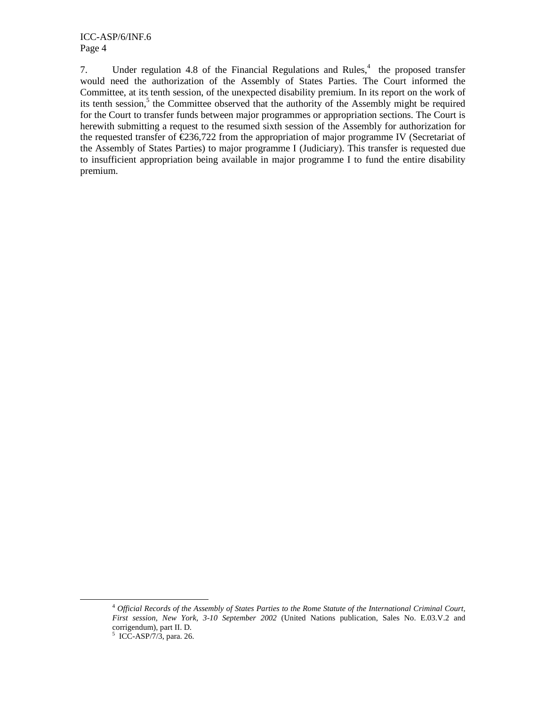7. Under regulation 4.8 of the Financial Regulations and Rules, $4$  the proposed transfer would need the authorization of the Assembly of States Parties. The Court informed the Committee, at its tenth session, of the unexpected disability premium. In its report on the work of its tenth session,<sup>5</sup> the Committee observed that the authority of the Assembly might be required for the Court to transfer funds between major programmes or appropriation sections. The Court is herewith submitting a request to the resumed sixth session of the Assembly for authorization for the requested transfer of  $\epsilon$ 236,722 from the appropriation of major programme IV (Secretariat of the Assembly of States Parties) to major programme I (Judiciary). This transfer is requested due to insufficient appropriation being available in major programme I to fund the entire disability premium.

-

<sup>4</sup> *Official Records of the Assembly of States Parties to the Rome Statute of the International Criminal Court, First session, New York, 3-10 September 2002* (United Nations publication, Sales No. E.03.V.2 and corrigendum), part II. D.

 $5$  ICC-ASP/7/3, para. 26.